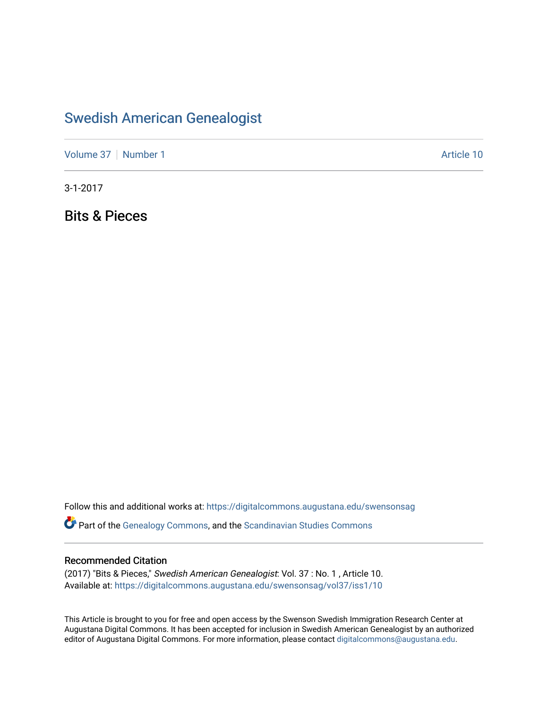# [Swedish American Genealogist](https://digitalcommons.augustana.edu/swensonsag)

[Volume 37](https://digitalcommons.augustana.edu/swensonsag/vol37) [Number 1](https://digitalcommons.augustana.edu/swensonsag/vol37/iss1) Article 10

3-1-2017

Bits & Pieces

Follow this and additional works at: [https://digitalcommons.augustana.edu/swensonsag](https://digitalcommons.augustana.edu/swensonsag?utm_source=digitalcommons.augustana.edu%2Fswensonsag%2Fvol37%2Fiss1%2F10&utm_medium=PDF&utm_campaign=PDFCoverPages) 

**C** Part of the [Genealogy Commons,](http://network.bepress.com/hgg/discipline/1342?utm_source=digitalcommons.augustana.edu%2Fswensonsag%2Fvol37%2Fiss1%2F10&utm_medium=PDF&utm_campaign=PDFCoverPages) and the [Scandinavian Studies Commons](http://network.bepress.com/hgg/discipline/485?utm_source=digitalcommons.augustana.edu%2Fswensonsag%2Fvol37%2Fiss1%2F10&utm_medium=PDF&utm_campaign=PDFCoverPages)

#### Recommended Citation

(2017) "Bits & Pieces," Swedish American Genealogist: Vol. 37 : No. 1 , Article 10. Available at: [https://digitalcommons.augustana.edu/swensonsag/vol37/iss1/10](https://digitalcommons.augustana.edu/swensonsag/vol37/iss1/10?utm_source=digitalcommons.augustana.edu%2Fswensonsag%2Fvol37%2Fiss1%2F10&utm_medium=PDF&utm_campaign=PDFCoverPages) 

This Article is brought to you for free and open access by the Swenson Swedish Immigration Research Center at Augustana Digital Commons. It has been accepted for inclusion in Swedish American Genealogist by an authorized editor of Augustana Digital Commons. For more information, please contact [digitalcommons@augustana.edu.](mailto:digitalcommons@augustana.edu)